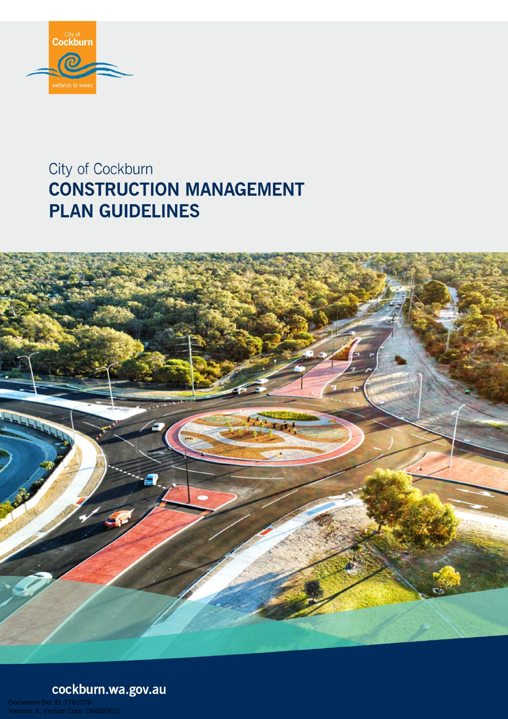

# City of Cockburn **CONSTRUCTION MANAGEMENT PLAN GUIDELINES**



cockburn.wa.gov.au

D: 7761079<br>ion Date: 08/03/2021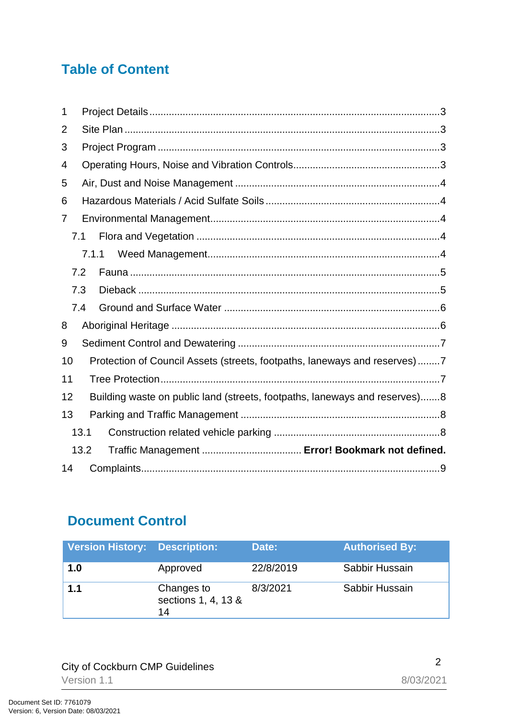### **Table of Content**

| 1  |                                                                            |  |  |  |  |
|----|----------------------------------------------------------------------------|--|--|--|--|
| 2  |                                                                            |  |  |  |  |
| 3  |                                                                            |  |  |  |  |
| 4  |                                                                            |  |  |  |  |
| 5  |                                                                            |  |  |  |  |
| 6  |                                                                            |  |  |  |  |
| 7  |                                                                            |  |  |  |  |
|    | 7.1                                                                        |  |  |  |  |
|    | 7.1.1                                                                      |  |  |  |  |
|    | 7.2                                                                        |  |  |  |  |
|    | 7.3                                                                        |  |  |  |  |
|    | 7.4                                                                        |  |  |  |  |
| 8  |                                                                            |  |  |  |  |
| 9  |                                                                            |  |  |  |  |
| 10 | Protection of Council Assets (streets, footpaths, laneways and reserves)7  |  |  |  |  |
| 11 |                                                                            |  |  |  |  |
| 12 | Building waste on public land (streets, footpaths, laneways and reserves)8 |  |  |  |  |
| 13 |                                                                            |  |  |  |  |
|    | 13.1                                                                       |  |  |  |  |
|    | 13.2                                                                       |  |  |  |  |
| 14 |                                                                            |  |  |  |  |

### **Document Control**

| <b>Version History: Description:</b> |                                         | Date:     | <b>Authorised By:</b> |
|--------------------------------------|-----------------------------------------|-----------|-----------------------|
| 1.0                                  | Approved                                | 22/8/2019 | Sabbir Hussain        |
| 1.1                                  | Changes to<br>sections 1, 4, 13 &<br>14 | 8/3/2021  | Sabbir Hussain        |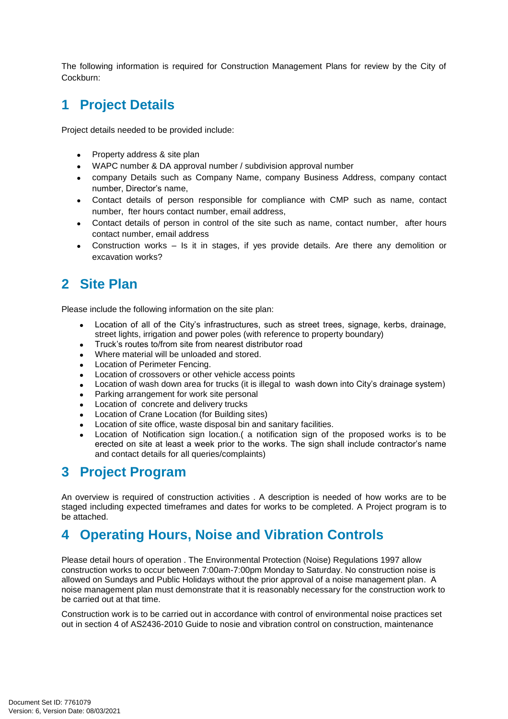The following information is required for Construction Management Plans for review by the City of Cockburn:

### <span id="page-2-0"></span>**1 Project Details**

Project details needed to be provided include:

- Property address & site plan
- WAPC number & DA approval number / subdivision approval number
- company Details such as Company Name, company Business Address, company contact number, Director's name,
- Contact details of person responsible for compliance with CMP such as name, contact number, fter hours contact number, email address,
- Contact details of person in control of the site such as name, contact number, after hours contact number, email address
- Construction works Is it in stages, if yes provide details. Are there any demolition or excavation works?

### <span id="page-2-1"></span>**2 Site Plan**

Please include the following information on the site plan:

- Location of all of the City's infrastructures, such as street trees, signage, kerbs, drainage, street lights, irrigation and power poles (with reference to property boundary)
- Truck's routes to/from site from nearest distributor road
- Where material will be unloaded and stored.
- Location of Perimeter Fencing.
- Location of crossovers or other vehicle access points
- Location of wash down area for trucks (it is illegal to wash down into City's drainage system)
- Parking arrangement for work site personal
- Location of concrete and delivery trucks
- Location of Crane Location (for Building sites)
- Location of site office, waste disposal bin and sanitary facilities.
- Location of Notification sign location.( a notification sign of the proposed works is to be erected on site at least a week prior to the works. The sign shall include contractor's name and contact details for all queries/complaints)

### <span id="page-2-2"></span>**3 Project Program**

An overview is required of construction activities . A description is needed of how works are to be staged including expected timeframes and dates for works to be completed. A Project program is to be attached.

### <span id="page-2-3"></span>**4 Operating Hours, Noise and Vibration Controls**

Please detail hours of operation . The Environmental Protection (Noise) Regulations 1997 allow construction works to occur between 7:00am-7:00pm Monday to Saturday. No construction noise is allowed on Sundays and Public Holidays without the prior approval of a noise management plan. A noise management plan must demonstrate that it is reasonably necessary for the construction work to be carried out at that time.

Construction work is to be carried out in accordance with control of environmental noise practices set out in section 4 of AS2436-2010 Guide to nosie and vibration control on construction, maintenance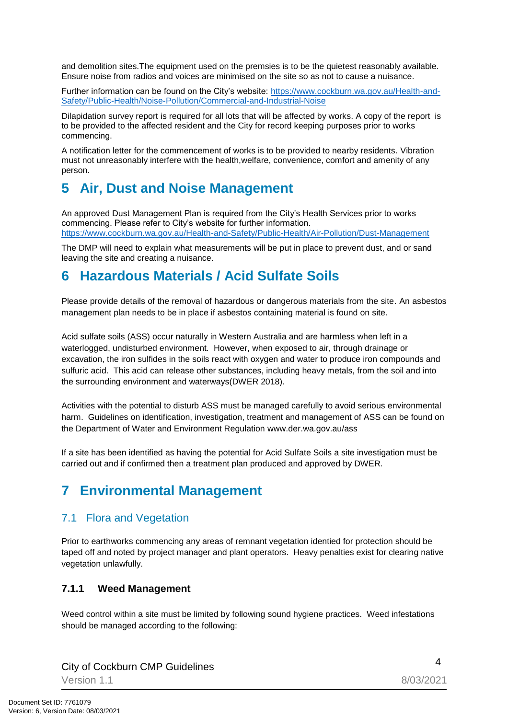and demolition sites.The equipment used on the premsies is to be the quietest reasonably available. Ensure noise from radios and voices are minimised on the site so as not to cause a nuisance.

Further information can be found on the City's website: [https://www.cockburn.wa.gov.au/Health-and-](https://www.cockburn.wa.gov.au/Health-and-Safety/Public-Health/Noise-Pollution/Commercial-and-Industrial-Noise)[Safety/Public-Health/Noise-Pollution/Commercial-and-Industrial-Noise](https://www.cockburn.wa.gov.au/Health-and-Safety/Public-Health/Noise-Pollution/Commercial-and-Industrial-Noise)

Dilapidation survey report is required for all lots that will be affected by works. A copy of the report is to be provided to the affected resident and the City for record keeping purposes prior to works commencing.

A notification letter for the commencement of works is to be provided to nearby residents. Vibration must not unreasonably interfere with the health,welfare, convenience, comfort and amenity of any person.

### <span id="page-3-0"></span>**5 Air, Dust and Noise Management**

An approved Dust Management Plan is required from the City's Health Services prior to works commencing. Please refer to City's website for further information. <https://www.cockburn.wa.gov.au/Health-and-Safety/Public-Health/Air-Pollution/Dust-Management>

The DMP will need to explain what measurements will be put in place to prevent dust, and or sand leaving the site and creating a nuisance.

### <span id="page-3-1"></span>**6 Hazardous Materials / Acid Sulfate Soils**

Please provide details of the removal of hazardous or dangerous materials from the site. An asbestos management plan needs to be in place if asbestos containing material is found on site.

Acid sulfate soils (ASS) occur naturally in Western Australia and are harmless when left in a waterlogged, undisturbed environment. However, when exposed to air, through drainage or excavation, the iron sulfides in the soils react with oxygen and water to produce iron compounds and sulfuric acid. This acid can release other substances, including heavy metals, from the soil and into the surrounding environment and waterways(DWER 2018).

Activities with the potential to disturb ASS must be managed carefully to avoid serious environmental harm. Guidelines on identification, investigation, treatment and management of ASS can be found on the Department of Water and Environment Regulation www.der.wa.gov.au/ass

If a site has been identified as having the potential for Acid Sulfate Soils a site investigation must be carried out and if confirmed then a treatment plan produced and approved by DWER.

### <span id="page-3-2"></span>**7 Environmental Management**

#### <span id="page-3-3"></span>7.1 Flora and Vegetation

Prior to earthworks commencing any areas of remnant vegetation identied for protection should be taped off and noted by project manager and plant operators. Heavy penalties exist for clearing native vegetation unlawfully.

#### <span id="page-3-4"></span>**7.1.1 Weed Management**

Weed control within a site must be limited by following sound hygiene practices. Weed infestations should be managed according to the following:

<sup>4</sup> City of Cockburn CMP Guidelines

Version 1.1 8/03/2021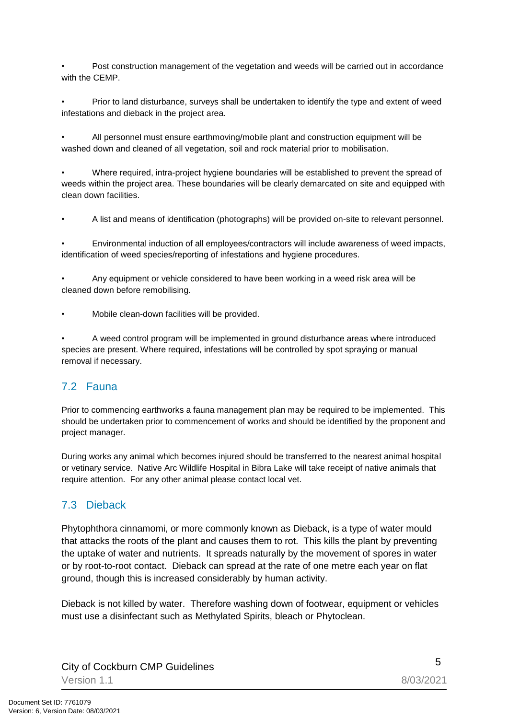• Post construction management of the vegetation and weeds will be carried out in accordance with the CEMP.

• Prior to land disturbance, surveys shall be undertaken to identify the type and extent of weed infestations and dieback in the project area.

• All personnel must ensure earthmoving/mobile plant and construction equipment will be washed down and cleaned of all vegetation, soil and rock material prior to mobilisation.

• Where required, intra-project hygiene boundaries will be established to prevent the spread of weeds within the project area. These boundaries will be clearly demarcated on site and equipped with clean down facilities.

• A list and means of identification (photographs) will be provided on-site to relevant personnel.

• Environmental induction of all employees/contractors will include awareness of weed impacts, identification of weed species/reporting of infestations and hygiene procedures.

• Any equipment or vehicle considered to have been working in a weed risk area will be cleaned down before remobilising.

• Mobile clean-down facilities will be provided.

• A weed control program will be implemented in ground disturbance areas where introduced species are present. Where required, infestations will be controlled by spot spraying or manual removal if necessary.

#### <span id="page-4-0"></span>7.2 Fauna

Prior to commencing earthworks a fauna management plan may be required to be implemented. This should be undertaken prior to commencement of works and should be identified by the proponent and project manager.

During works any animal which becomes injured should be transferred to the nearest animal hospital or vetinary service. Native Arc Wildlife Hospital in Bibra Lake will take receipt of native animals that require attention. For any other animal please contact local vet.

#### <span id="page-4-1"></span>7.3 Dieback

Phytophthora cinnamomi, or more commonly known as Dieback, is a type of water mould that attacks the roots of the plant and causes them to rot. This kills the plant by preventing the uptake of water and nutrients. It spreads naturally by the movement of spores in water or by root-to-root contact. Dieback can spread at the rate of one metre each year on flat ground, though this is increased considerably by human activity.

Dieback is not killed by water. Therefore washing down of footwear, equipment or vehicles must use a disinfectant such as Methylated Spirits, bleach or Phytoclean.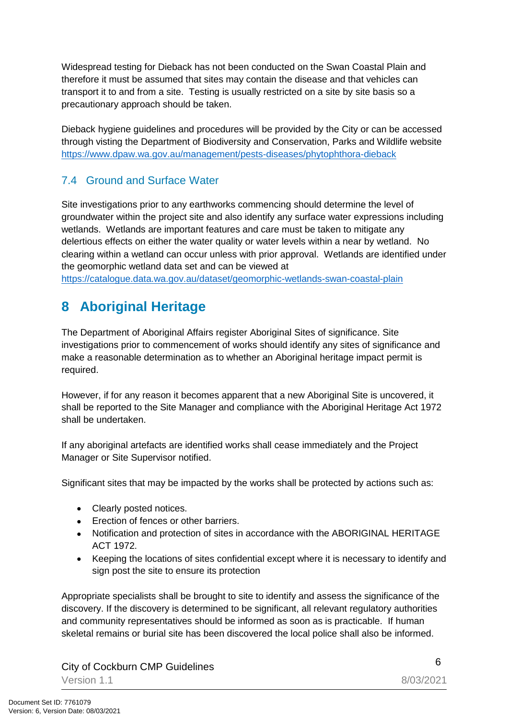Widespread testing for Dieback has not been conducted on the Swan Coastal Plain and therefore it must be assumed that sites may contain the disease and that vehicles can transport it to and from a site. Testing is usually restricted on a site by site basis so a precautionary approach should be taken.

Dieback hygiene guidelines and procedures will be provided by the City or can be accessed through visting the Department of Biodiversity and Conservation, Parks and Wildlife website <https://www.dpaw.wa.gov.au/management/pests-diseases/phytophthora-dieback>

#### <span id="page-5-0"></span>7.4 Ground and Surface Water

Site investigations prior to any earthworks commencing should determine the level of groundwater within the project site and also identify any surface water expressions including wetlands. Wetlands are important features and care must be taken to mitigate any delertious effects on either the water quality or water levels within a near by wetland. No clearing within a wetland can occur unless with prior approval. Wetlands are identified under the geomorphic wetland data set and can be viewed at

<https://catalogue.data.wa.gov.au/dataset/geomorphic-wetlands-swan-coastal-plain>

### <span id="page-5-1"></span>**8 Aboriginal Heritage**

The Department of Aboriginal Affairs register Aboriginal Sites of significance. Site investigations prior to commencement of works should identify any sites of significance and make a reasonable determination as to whether an Aboriginal heritage impact permit is required.

However, if for any reason it becomes apparent that a new Aboriginal Site is uncovered, it shall be reported to the Site Manager and compliance with the Aboriginal Heritage Act 1972 shall be undertaken.

If any aboriginal artefacts are identified works shall cease immediately and the Project Manager or Site Supervisor notified.

Significant sites that may be impacted by the works shall be protected by actions such as:

- Clearly posted notices.
- **Exection of fences or other barriers.**
- Notification and protection of sites in accordance with the ABORIGINAL HERITAGE ACT 1972.
- Keeping the locations of sites confidential except where it is necessary to identify and sign post the site to ensure its protection

Appropriate specialists shall be brought to site to identify and assess the significance of the discovery. If the discovery is determined to be significant, all relevant regulatory authorities and community representatives should be informed as soon as is practicable. If human skeletal remains or burial site has been discovered the local police shall also be informed.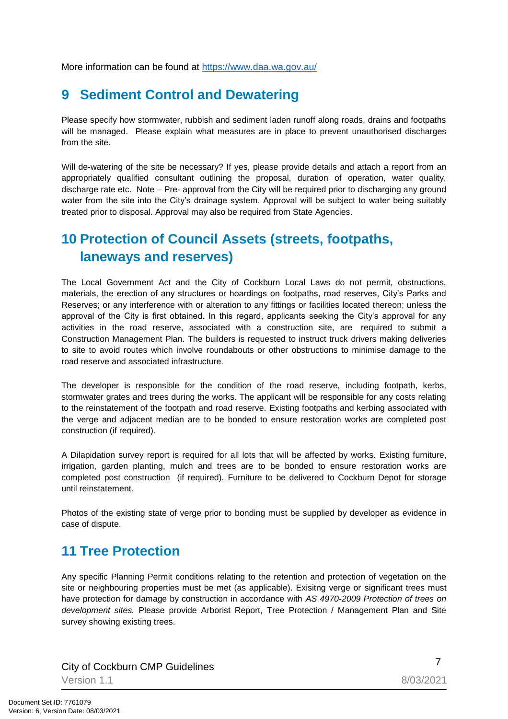More information can be found at<https://www.daa.wa.gov.au/>

### <span id="page-6-0"></span>**9 Sediment Control and Dewatering**

Please specify how stormwater, rubbish and sediment laden runoff along roads, drains and footpaths will be managed. Please explain what measures are in place to prevent unauthorised discharges from the site.

Will de-watering of the site be necessary? If yes, please provide details and attach a report from an appropriately qualified consultant outlining the proposal, duration of operation, water quality, discharge rate etc. Note – Pre- approval from the City will be required prior to discharging any ground water from the site into the City's drainage system. Approval will be subject to water being suitably treated prior to disposal. Approval may also be required from State Agencies.

### <span id="page-6-1"></span>**10 Protection of Council Assets (streets, footpaths, laneways and reserves)**

The Local Government Act and the City of Cockburn Local Laws do not permit, obstructions, materials, the erection of any structures or hoardings on footpaths, road reserves, City's Parks and Reserves; or any interference with or alteration to any fittings or facilities located thereon; unless the approval of the City is first obtained. In this regard, applicants seeking the City's approval for any activities in the road reserve, associated with a construction site, are required to submit a Construction Management Plan. The builders is requested to instruct truck drivers making deliveries to site to avoid routes which involve roundabouts or other obstructions to minimise damage to the road reserve and associated infrastructure.

The developer is responsible for the condition of the road reserve, including footpath, kerbs, stormwater grates and trees during the works. The applicant will be responsible for any costs relating to the reinstatement of the footpath and road reserve. Existing footpaths and kerbing associated with the verge and adjacent median are to be bonded to ensure restoration works are completed post construction (if required).

A Dilapidation survey report is required for all lots that will be affected by works. Existing furniture, irrigation, garden planting, mulch and trees are to be bonded to ensure restoration works are completed post construction (if required). Furniture to be delivered to Cockburn Depot for storage until reinstatement.

Photos of the existing state of verge prior to bonding must be supplied by developer as evidence in case of dispute.

### <span id="page-6-2"></span>**11 Tree Protection**

Any specific Planning Permit conditions relating to the retention and protection of vegetation on the site or neighbouring properties must be met (as applicable). Exisitng verge or significant trees must have protection for damage by construction in accordance with *AS 4970-2009 Protection of trees on development sites.* Please provide Arborist Report, Tree Protection / Management Plan and Site survey showing existing trees.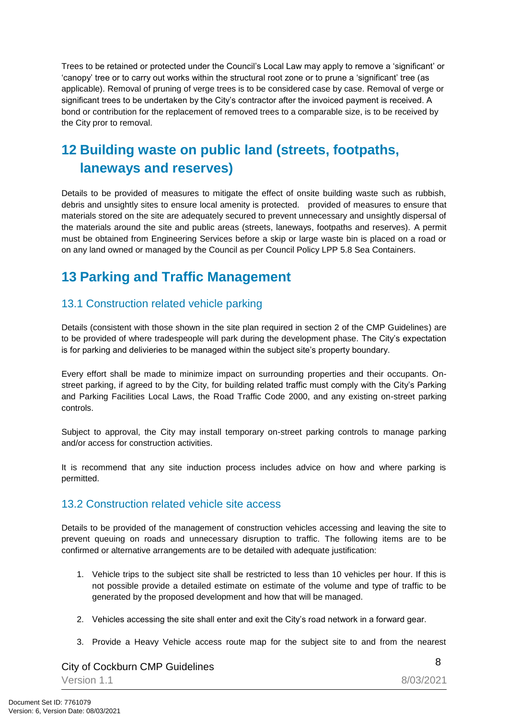Trees to be retained or protected under the Council's Local Law may apply to remove a 'significant' or 'canopy' tree or to carry out works within the structural root zone or to prune a 'significant' tree (as applicable). Removal of pruning of verge trees is to be considered case by case. Removal of verge or significant trees to be undertaken by the City's contractor after the invoiced payment is received. A bond or contribution for the replacement of removed trees to a comparable size, is to be received by the City pror to removal.

### <span id="page-7-0"></span>**12 Building waste on public land (streets, footpaths, laneways and reserves)**

Details to be provided of measures to mitigate the effect of onsite building waste such as rubbish, debris and unsightly sites to ensure local amenity is protected. provided of measures to ensure that materials stored on the site are adequately secured to prevent unnecessary and unsightly dispersal of the materials around the site and public areas (streets, laneways, footpaths and reserves). A permit must be obtained from Engineering Services before a skip or large waste bin is placed on a road or on any land owned or managed by the Council as per Council Policy LPP 5.8 Sea Containers.

### <span id="page-7-1"></span>**13 Parking and Traffic Management**

#### <span id="page-7-2"></span>13.1 Construction related vehicle parking

Details (consistent with those shown in the site plan required in section 2 of the CMP Guidelines) are to be provided of where tradespeople will park during the development phase. The City's expectation is for parking and delivieries to be managed within the subject site's property boundary.

Every effort shall be made to minimize impact on surrounding properties and their occupants. Onstreet parking, if agreed to by the City, for building related traffic must comply with the City's Parking and Parking Facilities Local Laws, the Road Traffic Code 2000, and any existing on-street parking controls.

Subject to approval, the City may install temporary on-street parking controls to manage parking and/or access for construction activities.

It is recommend that any site induction process includes advice on how and where parking is permitted.

#### 13.2 Construction related vehicle site access

Details to be provided of the management of construction vehicles accessing and leaving the site to prevent queuing on roads and unnecessary disruption to traffic. The following items are to be confirmed or alternative arrangements are to be detailed with adequate justification:

- 1. Vehicle trips to the subject site shall be restricted to less than 10 vehicles per hour. If this is not possible provide a detailed estimate on estimate of the volume and type of traffic to be generated by the proposed development and how that will be managed.
- 2. Vehicles accessing the site shall enter and exit the City's road network in a forward gear.
- 3. Provide a Heavy Vehicle access route map for the subject site to and from the nearest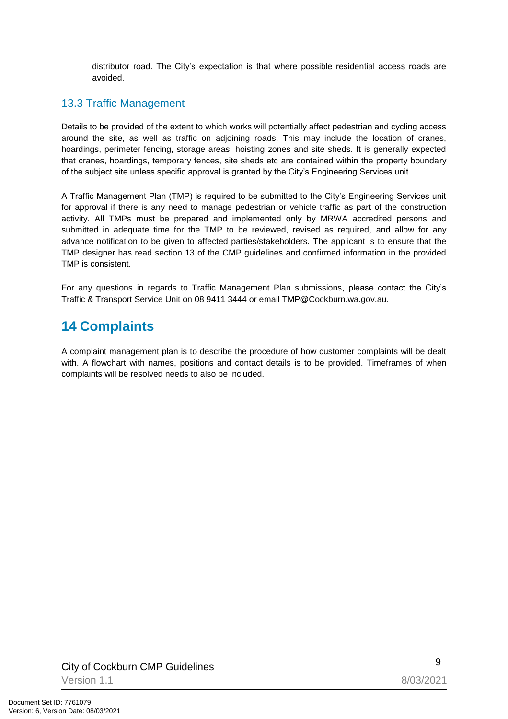distributor road. The City's expectation is that where possible residential access roads are avoided.

#### 13.3 Traffic Management

Details to be provided of the extent to which works will potentially affect pedestrian and cycling access around the site, as well as traffic on adjoining roads. This may include the location of cranes, hoardings, perimeter fencing, storage areas, hoisting zones and site sheds. It is generally expected that cranes, hoardings, temporary fences, site sheds etc are contained within the property boundary of the subject site unless specific approval is granted by the City's Engineering Services unit.

A Traffic Management Plan (TMP) is required to be submitted to the City's Engineering Services unit for approval if there is any need to manage pedestrian or vehicle traffic as part of the construction activity. All TMPs must be prepared and implemented only by MRWA accredited persons and submitted in adequate time for the TMP to be reviewed, revised as required, and allow for any advance notification to be given to affected parties/stakeholders. The applicant is to ensure that the TMP designer has read section 13 of the CMP guidelines and confirmed information in the provided TMP is consistent.

For any questions in regards to Traffic Management Plan submissions, please contact the City's Traffic & Transport Service Unit on 08 9411 3444 or email TMP@Cockburn.wa.gov.au.

### <span id="page-8-0"></span>**14 Complaints**

A complaint management plan is to describe the procedure of how customer complaints will be dealt with. A flowchart with names, positions and contact details is to be provided. Timeframes of when complaints will be resolved needs to also be included.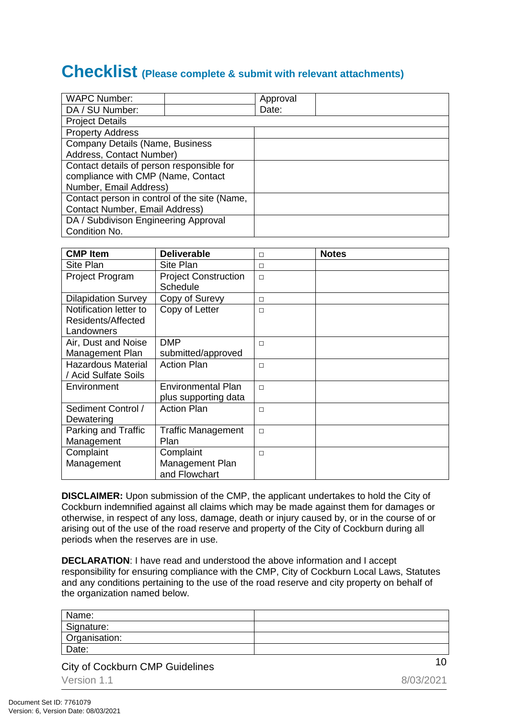## **Checklist (Please complete & submit with relevant attachments)**

| <b>WAPC Number:</b>                          |  | Approval |  |  |  |
|----------------------------------------------|--|----------|--|--|--|
| DA / SU Number:                              |  | Date:    |  |  |  |
| <b>Project Details</b>                       |  |          |  |  |  |
| <b>Property Address</b>                      |  |          |  |  |  |
| Company Details (Name, Business              |  |          |  |  |  |
| Address, Contact Number)                     |  |          |  |  |  |
| Contact details of person responsible for    |  |          |  |  |  |
| compliance with CMP (Name, Contact           |  |          |  |  |  |
| Number, Email Address)                       |  |          |  |  |  |
| Contact person in control of the site (Name, |  |          |  |  |  |
| <b>Contact Number, Email Address)</b>        |  |          |  |  |  |
| DA / Subdivison Engineering Approval         |  |          |  |  |  |
| Condition No.                                |  |          |  |  |  |

| <b>CMP Item</b>            | <b>Deliverable</b>          | $\Box$ | <b>Notes</b> |
|----------------------------|-----------------------------|--------|--------------|
| Site Plan                  | Site Plan                   | $\Box$ |              |
| <b>Project Program</b>     | <b>Project Construction</b> | $\Box$ |              |
|                            | <b>Schedule</b>             |        |              |
| <b>Dilapidation Survey</b> | Copy of Surevy              | $\Box$ |              |
| Notification letter to     | Copy of Letter              | $\Box$ |              |
| Residents/Affected         |                             |        |              |
| Landowners                 |                             |        |              |
| Air, Dust and Noise        | <b>DMP</b>                  | $\Box$ |              |
| Management Plan            | submitted/approved          |        |              |
| <b>Hazardous Material</b>  | <b>Action Plan</b>          | $\Box$ |              |
| / Acid Sulfate Soils       |                             |        |              |
| Environment                | <b>Environmental Plan</b>   | $\Box$ |              |
|                            | plus supporting data        |        |              |
| Sediment Control /         | <b>Action Plan</b>          | $\Box$ |              |
| Dewatering                 |                             |        |              |
| Parking and Traffic        | <b>Traffic Management</b>   | $\Box$ |              |
| Management                 | Plan                        |        |              |
| Complaint                  | Complaint                   | $\Box$ |              |
| Management                 | Management Plan             |        |              |
|                            | and Flowchart               |        |              |

**DISCLAIMER:** Upon submission of the CMP, the applicant undertakes to hold the City of Cockburn indemnified against all claims which may be made against them for damages or otherwise, in respect of any loss, damage, death or injury caused by, or in the course of or arising out of the use of the road reserve and property of the City of Cockburn during all periods when the reserves are in use.

**DECLARATION**: I have read and understood the above information and I accept responsibility for ensuring compliance with the CMP, City of Cockburn Local Laws, Statutes and any conditions pertaining to the use of the road reserve and city property on behalf of the organization named below.

| Name:         |  |
|---------------|--|
| Signature:    |  |
| Organisation: |  |
| Date:         |  |

<sup>10</sup> City of Cockburn CMP Guidelines Version 1.1 8/03/2021

Document Set ID: 7761079<br>Version: 6, Version Date: 08/03/2021